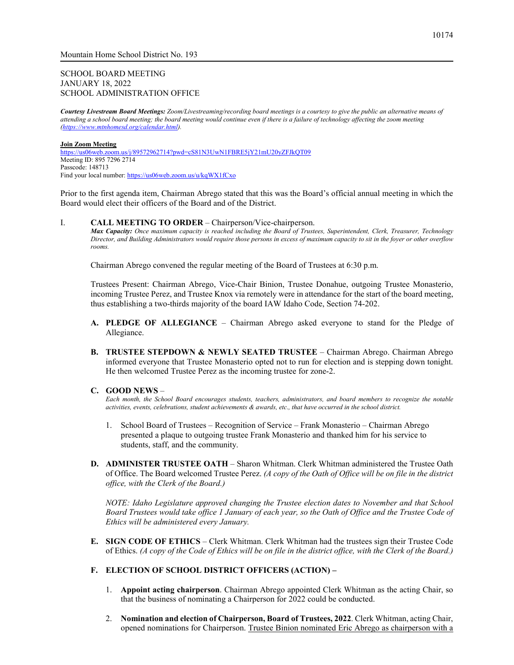# SCHOOL BOARD MEETING JANUARY 18, 2022 SCHOOL ADMINISTRATION OFFICE

*Courtesy Livestream Board Meetings: Zoom/Livestreaming/recording board meetings is a courtesy to give the public an alternative means of attending a school board meeting; the board meeting would continue even if there is a failure of technology affecting the zoom meeting [\(https://www.mtnhomesd.org/calendar.html\)](https://www.mtnhomesd.org/calendar.html).*

#### **Join Zoom Meeting**

<https://us06web.zoom.us/j/89572962714?pwd=cS81N3UwN1FBRE5jY21mU20yZFJkQT09> Meeting ID: 895 7296 2714 Passcode: 148713 Find your local number[: https://us06web.zoom.us/u/kqWX1fCxo](https://us06web.zoom.us/u/kqWX1fCxo)

Prior to the first agenda item, Chairman Abrego stated that this was the Board's official annual meeting in which the Board would elect their officers of the Board and of the District.

#### I. **CALL MEETING TO ORDER** – Chairperson/Vice-chairperson.

*Max Capacity: Once maximum capacity is reached including the Board of Trustees, Superintendent, Clerk, Treasurer, Technology Director, and Building Administrators would require those persons in excess of maximum capacity to sit in the foyer or other overflow rooms.*

Chairman Abrego convened the regular meeting of the Board of Trustees at 6:30 p.m.

Trustees Present: Chairman Abrego, Vice-Chair Binion, Trustee Donahue, outgoing Trustee Monasterio, incoming Trustee Perez, and Trustee Knox via remotely were in attendance for the start of the board meeting, thus establishing a two-thirds majority of the board IAW Idaho Code, Section 74-202.

- **A. PLEDGE OF ALLEGIANCE** Chairman Abrego asked everyone to stand for the Pledge of Allegiance.
- **B. TRUSTEE STEPDOWN & NEWLY SEATED TRUSTEE** Chairman Abrego. Chairman Abrego informed everyone that Trustee Monasterio opted not to run for election and is stepping down tonight. He then welcomed Trustee Perez as the incoming trustee for zone-2.

### **C. GOOD NEWS** –

*Each month, the School Board encourages students, teachers, administrators, and board members to recognize the notable activities, events, celebrations, student achievements & awards, etc., that have occurred in the school district.*

- 1. School Board of Trustees Recognition of Service Frank Monasterio Chairman Abrego presented a plaque to outgoing trustee Frank Monasterio and thanked him for his service to students, staff, and the community.
- **D. ADMINISTER TRUSTEE OATH** Sharon Whitman. Clerk Whitman administered the Trustee Oath of Office. The Board welcomed Trustee Perez. *(A copy of the Oath of Office will be on file in the district office, with the Clerk of the Board.)*

*NOTE: Idaho Legislature approved changing the Trustee election dates to November and that School Board Trustees would take office 1 January of each year, so the Oath of Office and the Trustee Code of Ethics will be administered every January.*

**E. SIGN CODE OF ETHICS** – Clerk Whitman. Clerk Whitman had the trustees sign their Trustee Code of Ethics. *(A copy of the Code of Ethics will be on file in the district office, with the Clerk of the Board.)*

## **F. ELECTION OF SCHOOL DISTRICT OFFICERS (ACTION) –**

- 1. **Appoint acting chairperson**. Chairman Abrego appointed Clerk Whitman as the acting Chair, so that the business of nominating a Chairperson for 2022 could be conducted.
- 2. **Nomination and election of Chairperson, Board of Trustees, 2022**. Clerk Whitman, acting Chair, opened nominations for Chairperson. Trustee Binion nominated Eric Abrego as chairperson with a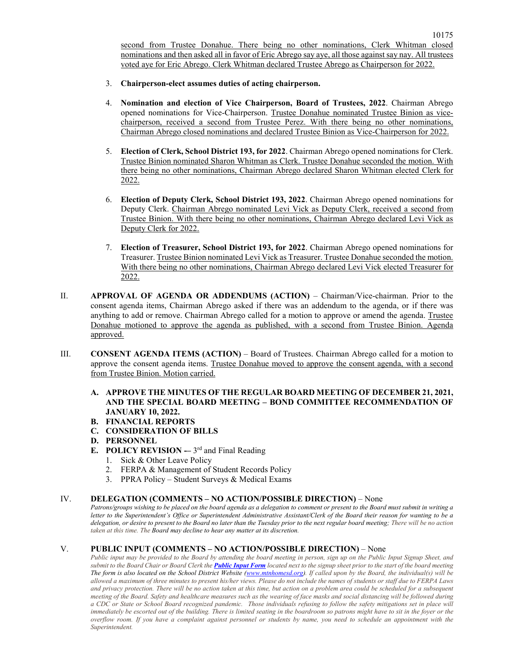second from Trustee Donahue. There being no other nominations, Clerk Whitman closed nominations and then asked all in favor of Eric Abrego say aye, all those against say nay. All trustees voted aye for Eric Abrego. Clerk Whitman declared Trustee Abrego as Chairperson for 2022.

- 3. **Chairperson-elect assumes duties of acting chairperson.**
- 4. **Nomination and election of Vice Chairperson, Board of Trustees, 2022**. Chairman Abrego opened nominations for Vice-Chairperson. Trustee Donahue nominated Trustee Binion as vicechairperson, received a second from Trustee Perez. With there being no other nominations, Chairman Abrego closed nominations and declared Trustee Binion as Vice-Chairperson for 2022.
- 5. **Election of Clerk, School District 193, for 2022**. Chairman Abrego opened nominations for Clerk. Trustee Binion nominated Sharon Whitman as Clerk. Trustee Donahue seconded the motion. With there being no other nominations, Chairman Abrego declared Sharon Whitman elected Clerk for 2022.
- 6. **Election of Deputy Clerk, School District 193, 2022**. Chairman Abrego opened nominations for Deputy Clerk. Chairman Abrego nominated Levi Vick as Deputy Clerk, received a second from Trustee Binion. With there being no other nominations, Chairman Abrego declared Levi Vick as Deputy Clerk for 2022.
- 7. **Election of Treasurer, School District 193, for 2022**. Chairman Abrego opened nominations for Treasurer. Trustee Binion nominated Levi Vick as Treasurer. Trustee Donahue seconded the motion. With there being no other nominations, Chairman Abrego declared Levi Vick elected Treasurer for 2022.
- II. **APPROVAL OF AGENDA OR ADDENDUMS (ACTION)**  Chairman/Vice-chairman. Prior to the consent agenda items, Chairman Abrego asked if there was an addendum to the agenda, or if there was anything to add or remove. Chairman Abrego called for a motion to approve or amend the agenda. Trustee Donahue motioned to approve the agenda as published, with a second from Trustee Binion. Agenda approved.
- III. **CONSENT AGENDA ITEMS (ACTION)**  Board of Trustees. Chairman Abrego called for a motion to approve the consent agenda items. Trustee Donahue moved to approve the consent agenda, with a second from Trustee Binion. Motion carried.
	- **A. APPROVE THE MINUTES OF THE REGULAR BOARD MEETING OF DECEMBER 21, 2021, AND THE SPECIAL BOARD MEETING – BOND COMMITTEE RECOMMENDATION OF JANUARY 10, 2022.**
	- **B. FINANCIAL REPORTS**
	- **C. CONSIDERATION OF BILLS**
	- **D. PERSONNEL**
	- **E. POLICY REVISION** -– 3<sup>rd</sup> and Final Reading
		- 1. Sick & Other Leave Policy
		- 2. FERPA & Management of Student Records Policy
		- 3. PPRA Policy Student Surveys & Medical Exams

## IV. **DELEGATION (COMMENTS – NO ACTION/POSSIBLE DIRECTION)** – None

*Patrons/groups wishing to be placed on the board agenda as a delegation to comment or present to the Board must submit in writing a letter to the Superintendent's Office or Superintendent Administrative Assistant/Clerk of the Board their reason for wanting to be a delegation, or desire to present to the Board no later than the Tuesday prior to the next regular board meeting; There will be no action taken at this time. The Board may decline to hear any matter at its discretion.*

# V. **PUBLIC INPUT (COMMENTS – NO ACTION/POSSIBLE DIRECTION)** – None

*Public input may be provided to the Board by attending the board meeting in person, sign up on the Public Input Signup Sheet, and submit to the Board Chair or Board Clerk the [Public Input Form](https://www.mtnhomesd.org/public-input-form.html) located next to the signup sheet prior to the start of the board meeting The form is also located on the School District Website [\(www.mtnhomesd.org\)](http://www.mtnhomesd.org/). If called upon by the Board, the individual(s) will be allowed a maximum of three minutes to present his/her views. Please do not include the names of students or staff due to FERPA Laws*  and privacy protection. There will be no action taken at this time, but action on a problem area could be scheduled for a subsequent *meeting of the Board. Safety and healthcare measures such as the wearing of face masks and social distancing will be followed during a CDC or State or School Board recognized pandemic. Those individuals refusing to follow the safety mitigations set in place will immediately be escorted out of the building. There is limited seating in the boardroom so patrons might have to sit in the foyer or the overflow room. If you have a complaint against personnel or students by name, you need to schedule an appointment with the Superintendent.*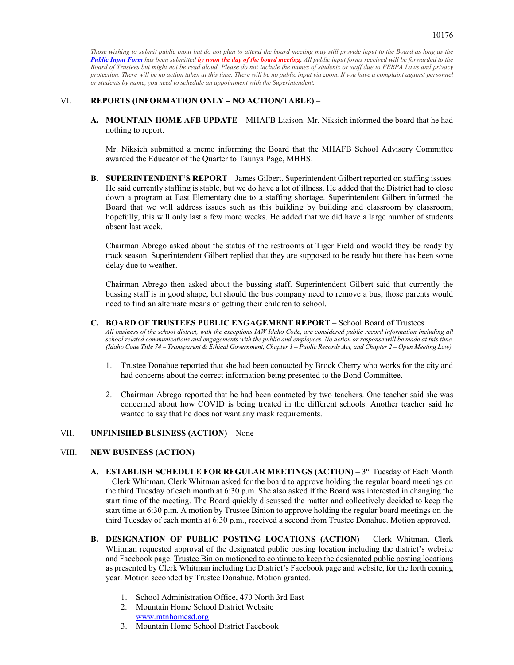*Those wishing to submit public input but do not plan to attend the board meeting may still provide input to the Board as long as the [Public Input Form](https://www.mtnhomesd.org/public-input-form.html) has been submitted by noon the day of the board meeting. All public input forms received will be forwarded to the Board of Trustees but might not be read aloud. Please do not include the names of students or staff due to FERPA Laws and privacy protection. There will be no action taken at this time. There will be no public input via zoom. If you have a complaint against personnel or students by name, you need to schedule an appointment with the Superintendent.*

# VI. **REPORTS (INFORMATION ONLY – NO ACTION/TABLE)** –

**A. MOUNTAIN HOME AFB UPDATE** – MHAFB Liaison. Mr. Niksich informed the board that he had nothing to report.

Mr. Niksich submitted a memo informing the Board that the MHAFB School Advisory Committee awarded the Educator of the Quarter to Taunya Page, MHHS.

**B. SUPERINTENDENT'S REPORT** – James Gilbert. Superintendent Gilbert reported on staffing issues. He said currently staffing is stable, but we do have a lot of illness. He added that the District had to close down a program at East Elementary due to a staffing shortage. Superintendent Gilbert informed the Board that we will address issues such as this building by building and classroom by classroom; hopefully, this will only last a few more weeks. He added that we did have a large number of students absent last week.

Chairman Abrego asked about the status of the restrooms at Tiger Field and would they be ready by track season. Superintendent Gilbert replied that they are supposed to be ready but there has been some delay due to weather.

Chairman Abrego then asked about the bussing staff. Superintendent Gilbert said that currently the bussing staff is in good shape, but should the bus company need to remove a bus, those parents would need to find an alternate means of getting their children to school.

- **C. BOARD OF TRUSTEES PUBLIC ENGAGEMENT REPORT** School Board of Trustees *All business of the school district, with the exceptions IAW Idaho Code, are considered public record information including all school related communications and engagements with the public and employees. No action or response will be made at this time. (Idaho Code Title 74 – Transparent & Ethical Government, Chapter 1 – Public Records Act, and Chapter 2 – Open Meeting Law).*
	- 1. Trustee Donahue reported that she had been contacted by Brock Cherry who works for the city and had concerns about the correct information being presented to the Bond Committee.
	- 2. Chairman Abrego reported that he had been contacted by two teachers. One teacher said she was concerned about how COVID is being treated in the different schools. Another teacher said he wanted to say that he does not want any mask requirements.

### VII. **UNFINISHED BUSINESS (ACTION)** – None

### VIII. **NEW BUSINESS (ACTION)** –

- A. **ESTABLISH SCHEDULE FOR REGULAR MEETINGS (ACTION)** 3<sup>rd</sup> Tuesday of Each Month – Clerk Whitman. Clerk Whitman asked for the board to approve holding the regular board meetings on the third Tuesday of each month at 6:30 p.m. She also asked if the Board was interested in changing the start time of the meeting. The Board quickly discussed the matter and collectively decided to keep the start time at 6:30 p.m. A motion by Trustee Binion to approve holding the regular board meetings on the third Tuesday of each month at 6:30 p.m., received a second from Trustee Donahue. Motion approved.
- **B. DESIGNATION OF PUBLIC POSTING LOCATIONS (ACTION)** Clerk Whitman. Clerk Whitman requested approval of the designated public posting location including the district's website and Facebook page. Trustee Binion motioned to continue to keep the designated public posting locations as presented by Clerk Whitman including the District's Facebook page and website, for the forth coming year. Motion seconded by Trustee Donahue. Motion granted.
	- 1. School Administration Office, 470 North 3rd East
	- 2. Mountain Home School District Website [www.mtnhomesd.org](http://www.mtnhomesd.org/)
	- 3. Mountain Home School District Facebook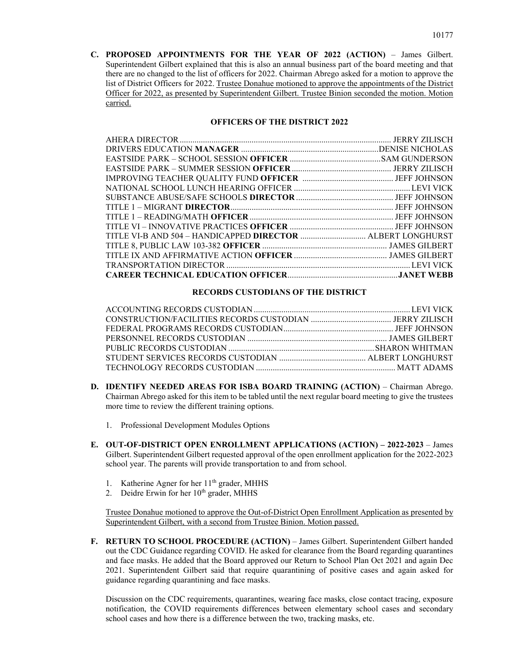**C. PROPOSED APPOINTMENTS FOR THE YEAR OF 2022 (ACTION)** – James Gilbert. Superintendent Gilbert explained that this is also an annual business part of the board meeting and that there are no changed to the list of officers for 2022. Chairman Abrego asked for a motion to approve the list of District Officers for 2022. Trustee Donahue motioned to approve the appointments of the District Officer for 2022, as presented by Superintendent Gilbert. Trustee Binion seconded the motion. Motion carried.

## **OFFICERS OF THE DISTRICT 2022**

# **RECORDS CUSTODIANS OF THE DISTRICT**

- **D. IDENTIFY NEEDED AREAS FOR ISBA BOARD TRAINING (ACTION)** Chairman Abrego. Chairman Abrego asked for this item to be tabled until the next regular board meeting to give the trustees more time to review the different training options.
	- 1. Professional Development Modules Options
- **E. OUT-OF-DISTRICT OPEN ENROLLMENT APPLICATIONS (ACTION) – 2022-2023** James Gilbert. Superintendent Gilbert requested approval of the open enrollment application for the 2022-2023 school year. The parents will provide transportation to and from school.
	- 1. Katherine Agner for her 11<sup>th</sup> grader, MHHS
	- 2. Deidre Erwin for her 10<sup>th</sup> grader, MHHS

Trustee Donahue motioned to approve the Out-of-District Open Enrollment Application as presented by Superintendent Gilbert, with a second from Trustee Binion. Motion passed.

**F. RETURN TO SCHOOL PROCEDURE (ACTION)** – James Gilbert. Superintendent Gilbert handed out the CDC Guidance regarding COVID. He asked for clearance from the Board regarding quarantines and face masks. He added that the Board approved our Return to School Plan Oct 2021 and again Dec 2021. Superintendent Gilbert said that require quarantining of positive cases and again asked for guidance regarding quarantining and face masks.

Discussion on the CDC requirements, quarantines, wearing face masks, close contact tracing, exposure notification, the COVID requirements differences between elementary school cases and secondary school cases and how there is a difference between the two, tracking masks, etc.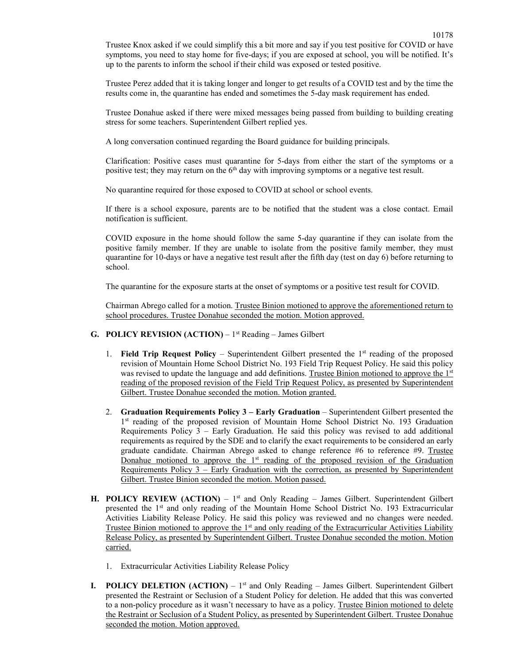Trustee Knox asked if we could simplify this a bit more and say if you test positive for COVID or have symptoms, you need to stay home for five-days; if you are exposed at school, you will be notified. It's up to the parents to inform the school if their child was exposed or tested positive.

Trustee Perez added that it is taking longer and longer to get results of a COVID test and by the time the results come in, the quarantine has ended and sometimes the 5-day mask requirement has ended.

Trustee Donahue asked if there were mixed messages being passed from building to building creating stress for some teachers. Superintendent Gilbert replied yes.

A long conversation continued regarding the Board guidance for building principals.

Clarification: Positive cases must quarantine for 5-days from either the start of the symptoms or a positive test; they may return on the 6<sup>th</sup> day with improving symptoms or a negative test result.

No quarantine required for those exposed to COVID at school or school events.

If there is a school exposure, parents are to be notified that the student was a close contact. Email notification is sufficient.

COVID exposure in the home should follow the same 5-day quarantine if they can isolate from the positive family member. If they are unable to isolate from the positive family member, they must quarantine for 10-days or have a negative test result after the fifth day (test on day 6) before returning to school.

The quarantine for the exposure starts at the onset of symptoms or a positive test result for COVID.

Chairman Abrego called for a motion. Trustee Binion motioned to approve the aforementioned return to school procedures. Trustee Donahue seconded the motion. Motion approved.

### **G. POLICY REVISION (ACTION)** – 1st Reading – James Gilbert

- 1. **Field Trip Request Policy** Superintendent Gilbert presented the 1st reading of the proposed revision of Mountain Home School District No. 193 Field Trip Request Policy. He said this policy was revised to update the language and add definitions. Trustee Binion motioned to approve the 1st reading of the proposed revision of the Field Trip Request Policy, as presented by Superintendent Gilbert. Trustee Donahue seconded the motion. Motion granted.
- 2. **Graduation Requirements Policy 3 – Early Graduation** Superintendent Gilbert presented the 1<sup>st</sup> reading of the proposed revision of Mountain Home School District No. 193 Graduation Requirements Policy 3 – Early Graduation. He said this policy was revised to add additional requirements as required by the SDE and to clarify the exact requirements to be considered an early graduate candidate. Chairman Abrego asked to change reference #6 to reference #9. Trustee Donahue motioned to approve the  $1<sup>st</sup>$  reading of the proposed revision of the Graduation Requirements Policy 3 – Early Graduation with the correction, as presented by Superintendent Gilbert. Trustee Binion seconded the motion. Motion passed.
- **H. POLICY REVIEW (ACTION)** 1st and Only Reading James Gilbert. Superintendent Gilbert presented the 1<sup>st</sup> and only reading of the Mountain Home School District No. 193 Extracurricular Activities Liability Release Policy. He said this policy was reviewed and no changes were needed. Trustee Binion motioned to approve the 1<sup>st</sup> and only reading of the Extracurricular Activities Liability Release Policy, as presented by Superintendent Gilbert. Trustee Donahue seconded the motion. Motion carried.
	- 1. Extracurricular Activities Liability Release Policy
- **I. POLICY DELETION**  $(ACTION) 1<sup>st</sup>$  and Only Reading James Gilbert. Superintendent Gilbert presented the Restraint or Seclusion of a Student Policy for deletion. He added that this was converted to a non-policy procedure as it wasn't necessary to have as a policy. Trustee Binion motioned to delete the Restraint or Seclusion of a Student Policy, as presented by Superintendent Gilbert. Trustee Donahue seconded the motion. Motion approved.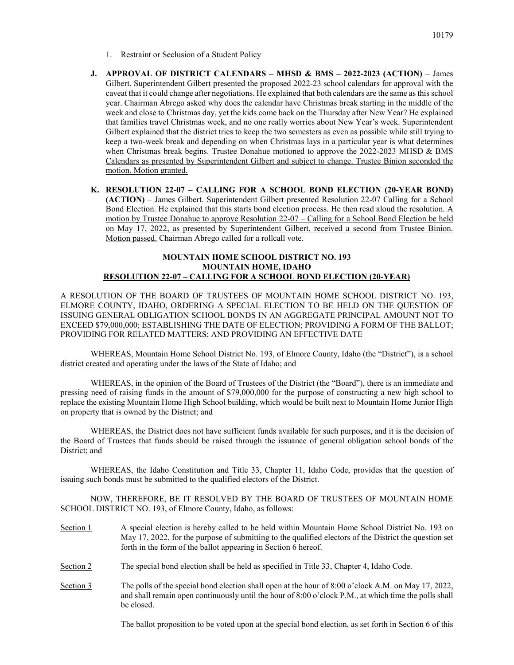- 1. Restraint or Seclusion of a Student Policy
- **J. APPROVAL OF DISTRICT CALENDARS – MHSD & BMS – 2022-2023 (ACTION)** James Gilbert. Superintendent Gilbert presented the proposed 2022-23 school calendars for approval with the caveat that it could change after negotiations. He explained that both calendars are the same as this school year. Chairman Abrego asked why does the calendar have Christmas break starting in the middle of the week and close to Christmas day, yet the kids come back on the Thursday after New Year? He explained that families travel Christmas week, and no one really worries about New Year's week. Superintendent Gilbert explained that the district tries to keep the two semesters as even as possible while still trying to keep a two-week break and depending on when Christmas lays in a particular year is what determines when Christmas break begins. Trustee Donahue motioned to approve the 2022-2023 MHSD & BMS Calendars as presented by Superintendent Gilbert and subject to change. Trustee Binion seconded the motion. Motion granted.
- **K. RESOLUTION 22-07 – CALLING FOR A SCHOOL BOND ELECTION (20-YEAR BOND) (ACTION)** – James Gilbert. Superintendent Gilbert presented Resolution 22-07 Calling for a School Bond Election. He explained that this starts bond election process. He then read aloud the resolution. A motion by Trustee Donahue to approve Resolution 22-07 – Calling for a School Bond Election be held on May 17, 2022, as presented by Superintendent Gilbert, received a second from Trustee Binion. Motion passed. Chairman Abrego called for a rollcall vote.

## **MOUNTAIN HOME SCHOOL DISTRICT NO. 193 MOUNTAIN HOME, IDAHO RESOLUTION 22-07 – CALLING FOR A SCHOOL BOND ELECTION (20-YEAR)**

A RESOLUTION OF THE BOARD OF TRUSTEES OF MOUNTAIN HOME SCHOOL DISTRICT NO. 193, ELMORE COUNTY, IDAHO, ORDERING A SPECIAL ELECTION TO BE HELD ON THE QUESTION OF ISSUING GENERAL OBLIGATION SCHOOL BONDS IN AN AGGREGATE PRINCIPAL AMOUNT NOT TO EXCEED \$79,000,000; ESTABLISHING THE DATE OF ELECTION; PROVIDING A FORM OF THE BALLOT; PROVIDING FOR RELATED MATTERS; AND PROVIDING AN EFFECTIVE DATE

WHEREAS, Mountain Home School District No. 193, of Elmore County, Idaho (the "District"), is a school district created and operating under the laws of the State of Idaho; and

WHEREAS, in the opinion of the Board of Trustees of the District (the "Board"), there is an immediate and pressing need of raising funds in the amount of \$79,000,000 for the purpose of constructing a new high school to replace the existing Mountain Home High School building, which would be built next to Mountain Home Junior High on property that is owned by the District; and

WHEREAS, the District does not have sufficient funds available for such purposes, and it is the decision of the Board of Trustees that funds should be raised through the issuance of general obligation school bonds of the District; and

WHEREAS, the Idaho Constitution and Title 33, Chapter 11, Idaho Code, provides that the question of issuing such bonds must be submitted to the qualified electors of the District.

NOW, THEREFORE, BE IT RESOLVED BY THE BOARD OF TRUSTEES OF MOUNTAIN HOME SCHOOL DISTRICT NO. 193, of Elmore County, Idaho, as follows:

- Section 1 A special election is hereby called to be held within Mountain Home School District No. 193 on May 17, 2022, for the purpose of submitting to the qualified electors of the District the question set forth in the form of the ballot appearing in Section 6 hereof.
- Section 2 The special bond election shall be held as specified in Title 33, Chapter 4, Idaho Code.
- Section 3 The polls of the special bond election shall open at the hour of 8:00 o'clock A.M. on May 17, 2022, and shall remain open continuously until the hour of 8:00 o'clock P.M., at which time the polls shall be closed.

The ballot proposition to be voted upon at the special bond election, as set forth in Section 6 of this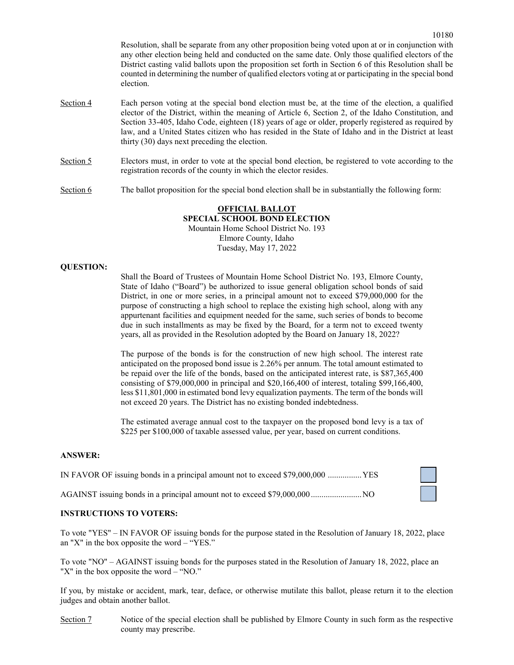Resolution, shall be separate from any other proposition being voted upon at or in conjunction with any other election being held and conducted on the same date. Only those qualified electors of the District casting valid ballots upon the proposition set forth in Section 6 of this Resolution shall be counted in determining the number of qualified electors voting at or participating in the special bond election.

- Section 4 Each person voting at the special bond election must be, at the time of the election, a qualified elector of the District, within the meaning of Article 6, Section 2, of the Idaho Constitution, and Section 33-405, Idaho Code, eighteen (18) years of age or older, properly registered as required by law, and a United States citizen who has resided in the State of Idaho and in the District at least thirty (30) days next preceding the election.
- Section 5 Electors must, in order to vote at the special bond election, be registered to vote according to the registration records of the county in which the elector resides.

Section 6 The ballot proposition for the special bond election shall be in substantially the following form:

## **OFFICIAL BALLOT SPECIAL SCHOOL BOND ELECTION** Mountain Home School District No. 193 Elmore County, Idaho Tuesday, May 17, 2022

### **QUESTION:**

Shall the Board of Trustees of Mountain Home School District No. 193, Elmore County, State of Idaho ("Board") be authorized to issue general obligation school bonds of said District, in one or more series, in a principal amount not to exceed \$79,000,000 for the purpose of constructing a high school to replace the existing high school, along with any appurtenant facilities and equipment needed for the same, such series of bonds to become due in such installments as may be fixed by the Board, for a term not to exceed twenty years, all as provided in the Resolution adopted by the Board on January 18, 2022?

The purpose of the bonds is for the construction of new high school. The interest rate anticipated on the proposed bond issue is 2.26% per annum. The total amount estimated to be repaid over the life of the bonds, based on the anticipated interest rate, is \$87,365,400 consisting of \$79,000,000 in principal and \$20,166,400 of interest, totaling \$99,166,400, less \$11,801,000 in estimated bond levy equalization payments. The term of the bonds will not exceed 20 years. The District has no existing bonded indebtedness.

The estimated average annual cost to the taxpayer on the proposed bond levy is a tax of \$225 per \$100,000 of taxable assessed value, per year, based on current conditions.

#### **ANSWER:**

| IN FAVOR OF issuing bonds in a principal amount not to exceed \$79,000,000  YES |  |
|---------------------------------------------------------------------------------|--|
|                                                                                 |  |

AGAINST issuing bonds in a principal amount not to exceed \$79,000,000 ........................NO

### **INSTRUCTIONS TO VOTERS:**

To vote "YES" – IN FAVOR OF issuing bonds for the purpose stated in the Resolution of January 18, 2022, place an "X" in the box opposite the word  $-$  "YES."

To vote "NO" – AGAINST issuing bonds for the purposes stated in the Resolution of January 18, 2022, place an "X" in the box opposite the word – "NO."

If you, by mistake or accident, mark, tear, deface, or otherwise mutilate this ballot, please return it to the election judges and obtain another ballot.

Section 7 Notice of the special election shall be published by Elmore County in such form as the respective county may prescribe.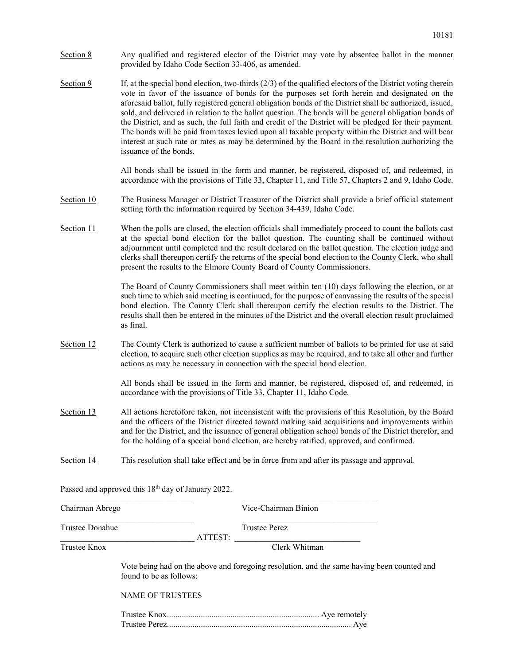- Section 8 Any qualified and registered elector of the District may vote by absentee ballot in the manner provided by Idaho Code Section 33-406, as amended.
- Section 9 If, at the special bond election, two-thirds  $(2/3)$  of the qualified electors of the District voting therein vote in favor of the issuance of bonds for the purposes set forth herein and designated on the aforesaid ballot, fully registered general obligation bonds of the District shall be authorized, issued, sold, and delivered in relation to the ballot question. The bonds will be general obligation bonds of the District, and as such, the full faith and credit of the District will be pledged for their payment. The bonds will be paid from taxes levied upon all taxable property within the District and will bear interest at such rate or rates as may be determined by the Board in the resolution authorizing the issuance of the bonds.

All bonds shall be issued in the form and manner, be registered, disposed of, and redeemed, in accordance with the provisions of Title 33, Chapter 11, and Title 57, Chapters 2 and 9, Idaho Code.

- Section 10 The Business Manager or District Treasurer of the District shall provide a brief official statement setting forth the information required by Section 34-439, Idaho Code.
- Section 11 When the polls are closed, the election officials shall immediately proceed to count the ballots cast at the special bond election for the ballot question. The counting shall be continued without adjournment until completed and the result declared on the ballot question. The election judge and clerks shall thereupon certify the returns of the special bond election to the County Clerk, who shall present the results to the Elmore County Board of County Commissioners.

The Board of County Commissioners shall meet within ten (10) days following the election, or at such time to which said meeting is continued, for the purpose of canvassing the results of the special bond election. The County Clerk shall thereupon certify the election results to the District. The results shall then be entered in the minutes of the District and the overall election result proclaimed as final.

Section 12 The County Clerk is authorized to cause a sufficient number of ballots to be printed for use at said election, to acquire such other election supplies as may be required, and to take all other and further actions as may be necessary in connection with the special bond election.

> All bonds shall be issued in the form and manner, be registered, disposed of, and redeemed, in accordance with the provisions of Title 33, Chapter 11, Idaho Code.

- Section 13 All actions heretofore taken, not inconsistent with the provisions of this Resolution, by the Board and the officers of the District directed toward making said acquisitions and improvements within and for the District, and the issuance of general obligation school bonds of the District therefor, and for the holding of a special bond election, are hereby ratified, approved, and confirmed.
- Section 14 This resolution shall take effect and be in force from and after its passage and approval.

| Chairman Abrego         |                         |         | Vice-Chairman Binion                                                                       |  |
|-------------------------|-------------------------|---------|--------------------------------------------------------------------------------------------|--|
| Trustee Donahue         |                         | ATTEST: | <b>Trustee Perez</b>                                                                       |  |
| Trustee Knox            |                         |         | Clerk Whitman                                                                              |  |
| found to be as follows: |                         |         | Vote being had on the above and foregoing resolution, and the same having been counted and |  |
|                         | <b>NAME OF TRUSTEES</b> |         |                                                                                            |  |
|                         |                         |         | Aye                                                                                        |  |

Passed and approved this 18<sup>th</sup> day of January 2022.